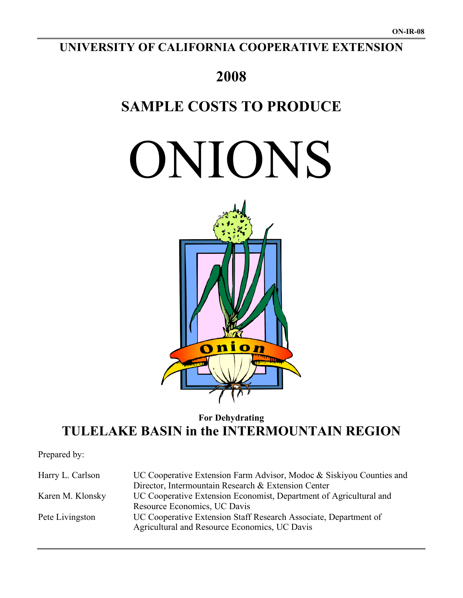## **UNIVERSITY OF CALIFORNIA COOPERATIVE EXTENSION**

# **2008**

# **SAMPLE COSTS TO PRODUCE**

ONIONS



## **For Dehydrating TULELAKE BASIN in the INTERMOUNTAIN REGION**

Prepared by:

| Harry L. Carlson | UC Cooperative Extension Farm Advisor, Modoc & Siskiyou Counties and<br>Director, Intermountain Research & Extension Center |
|------------------|-----------------------------------------------------------------------------------------------------------------------------|
| Karen M. Klonsky | UC Cooperative Extension Economist, Department of Agricultural and<br>Resource Economics, UC Davis                          |
| Pete Livingston  | UC Cooperative Extension Staff Research Associate, Department of<br>Agricultural and Resource Economics, UC Davis           |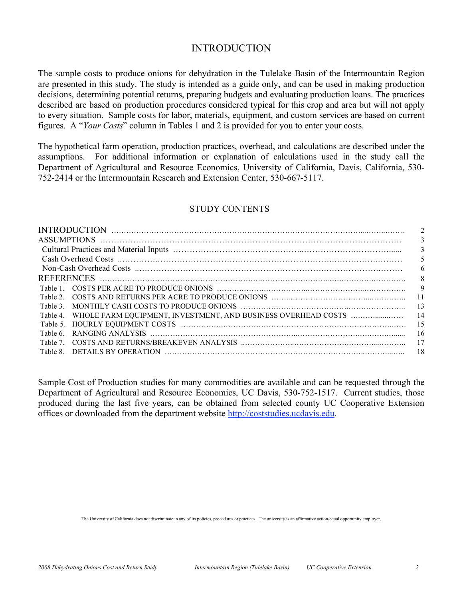### INTRODUCTION

The sample costs to produce onions for dehydration in the Tulelake Basin of the Intermountain Region are presented in this study. The study is intended as a guide only, and can be used in making production decisions, determining potential returns, preparing budgets and evaluating production loans. The practices described are based on production procedures considered typical for this crop and area but will not apply to every situation. Sample costs for labor, materials, equipment, and custom services are based on current figures. A "*Your Costs*" column in Tables 1 and 2 is provided for you to enter your costs.

The hypothetical farm operation, production practices, overhead, and calculations are described under the assumptions. For additional information or explanation of calculations used in the study call the Department of Agricultural and Resource Economics, University of California, Davis, California, 530- 752-2414 or the Intermountain Research and Extension Center, 530-667-5117.

### STUDY CONTENTS

|         |                                                                        | $\overline{2}$ |
|---------|------------------------------------------------------------------------|----------------|
|         |                                                                        | 3              |
|         |                                                                        | 3              |
|         |                                                                        | 5              |
|         |                                                                        | 6              |
|         |                                                                        | 8              |
|         |                                                                        |                |
|         |                                                                        |                |
|         | - 13                                                                   |                |
|         | Table 4. WHOLE FARM EQUIPMENT, INVESTMENT, AND BUSINESS OVERHEAD COSTS | -14            |
|         |                                                                        | - 15           |
| Table 6 |                                                                        | -16            |
|         | - 17                                                                   |                |
| Table 8 |                                                                        | 18             |
|         |                                                                        |                |

Sample Cost of Production studies for many commodities are available and can be requested through the Department of Agricultural and Resource Economics, UC Davis, 530-752-1517. Current studies, those produced during the last five years, can be obtained from selected county UC Cooperative Extension offices or downloaded from the department website http://coststudies.ucdavis.edu.

The University of California does not discriminate in any of its policies, procedures or practices. The university is an affirmative action/equal opportunity employer.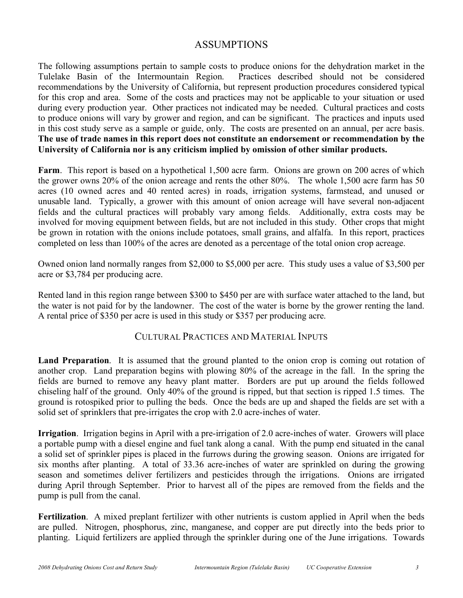### ASSUMPTIONS

The following assumptions pertain to sample costs to produce onions for the dehydration market in the Tulelake Basin of the Intermountain Region. Practices described should not be considered recommendations by the University of California, but represent production procedures considered typical for this crop and area. Some of the costs and practices may not be applicable to your situation or used during every production year. Other practices not indicated may be needed. Cultural practices and costs to produce onions will vary by grower and region, and can be significant. The practices and inputs used in this cost study serve as a sample or guide, only. The costs are presented on an annual, per acre basis. **The use of trade names in this report does not constitute an endorsement or recommendation by the University of California nor is any criticism implied by omission of other similar products.**

**Farm**. This report is based on a hypothetical 1,500 acre farm. Onions are grown on 200 acres of which the grower owns 20% of the onion acreage and rents the other 80%. The whole 1,500 acre farm has 50 acres (10 owned acres and 40 rented acres) in roads, irrigation systems, farmstead, and unused or unusable land. Typically, a grower with this amount of onion acreage will have several non-adjacent fields and the cultural practices will probably vary among fields. Additionally, extra costs may be involved for moving equipment between fields, but are not included in this study. Other crops that might be grown in rotation with the onions include potatoes, small grains, and alfalfa. In this report, practices completed on less than 100% of the acres are denoted as a percentage of the total onion crop acreage.

Owned onion land normally ranges from \$2,000 to \$5,000 per acre. This study uses a value of \$3,500 per acre or \$3,784 per producing acre.

Rented land in this region range between \$300 to \$450 per are with surface water attached to the land, but the water is not paid for by the landowner. The cost of the water is borne by the grower renting the land. A rental price of \$350 per acre is used in this study or \$357 per producing acre.

### CULTURAL PRACTICES AND MATERIAL INPUTS

**Land Preparation**. It is assumed that the ground planted to the onion crop is coming out rotation of another crop. Land preparation begins with plowing 80% of the acreage in the fall. In the spring the fields are burned to remove any heavy plant matter. Borders are put up around the fields followed chiseling half of the ground. Only 40% of the ground is ripped, but that section is ripped 1.5 times. The ground is rotospiked prior to pulling the beds. Once the beds are up and shaped the fields are set with a solid set of sprinklers that pre-irrigates the crop with 2.0 acre-inches of water.

**Irrigation**. Irrigation begins in April with a pre-irrigation of 2.0 acre-inches of water. Growers will place a portable pump with a diesel engine and fuel tank along a canal. With the pump end situated in the canal a solid set of sprinkler pipes is placed in the furrows during the growing season. Onions are irrigated for six months after planting. A total of 33.36 acre-inches of water are sprinkled on during the growing season and sometimes deliver fertilizers and pesticides through the irrigations. Onions are irrigated during April through September. Prior to harvest all of the pipes are removed from the fields and the pump is pull from the canal.

**Fertilization**. A mixed preplant fertilizer with other nutrients is custom applied in April when the beds are pulled. Nitrogen, phosphorus, zinc, manganese, and copper are put directly into the beds prior to planting. Liquid fertilizers are applied through the sprinkler during one of the June irrigations. Towards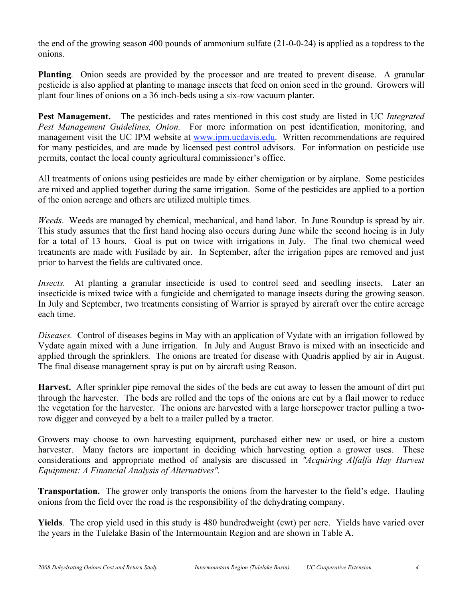the end of the growing season 400 pounds of ammonium sulfate (21-0-0-24) is applied as a topdress to the onions.

**Planting**. Onion seeds are provided by the processor and are treated to prevent disease. A granular pesticide is also applied at planting to manage insects that feed on onion seed in the ground. Growers will plant four lines of onions on a 36 inch-beds using a six-row vacuum planter.

**Pest Management.** The pesticides and rates mentioned in this cost study are listed in UC *Integrated Pest Management Guidelines, Onion.* For more information on pest identification, monitoring, and management visit the UC IPM website at www.ipm.ucdavis.edu. Written recommendations are required for many pesticides, and are made by licensed pest control advisors. For information on pesticide use permits, contact the local county agricultural commissioner's office.

All treatments of onions using pesticides are made by either chemigation or by airplane. Some pesticides are mixed and applied together during the same irrigation. Some of the pesticides are applied to a portion of the onion acreage and others are utilized multiple times.

*Weeds*. Weeds are managed by chemical, mechanical, and hand labor. In June Roundup is spread by air. This study assumes that the first hand hoeing also occurs during June while the second hoeing is in July for a total of 13 hours. Goal is put on twice with irrigations in July. The final two chemical weed treatments are made with Fusilade by air. In September, after the irrigation pipes are removed and just prior to harvest the fields are cultivated once.

*Insects.* At planting a granular insecticide is used to control seed and seedling insects. Later an insecticide is mixed twice with a fungicide and chemigated to manage insects during the growing season. In July and September, two treatments consisting of Warrior is sprayed by aircraft over the entire acreage each time.

*Diseases.* Control of diseases begins in May with an application of Vydate with an irrigation followed by Vydate again mixed with a June irrigation. In July and August Bravo is mixed with an insecticide and applied through the sprinklers. The onions are treated for disease with Quadris applied by air in August. The final disease management spray is put on by aircraft using Reason.

**Harvest.** After sprinkler pipe removal the sides of the beds are cut away to lessen the amount of dirt put through the harvester. The beds are rolled and the tops of the onions are cut by a flail mower to reduce the vegetation for the harvester. The onions are harvested with a large horsepower tractor pulling a tworow digger and conveyed by a belt to a trailer pulled by a tractor.

Growers may choose to own harvesting equipment, purchased either new or used, or hire a custom harvester. Many factors are important in deciding which harvesting option a grower uses. These considerations and appropriate method of analysis are discussed in *"Acquiring Alfalfa Hay Harvest Equipment: A Financial Analysis of Alternatives".*

**Transportation.** The grower only transports the onions from the harvester to the field's edge. Hauling onions from the field over the road is the responsibility of the dehydrating company.

**Yields**. The crop yield used in this study is 480 hundredweight (cwt) per acre. Yields have varied over the years in the Tulelake Basin of the Intermountain Region and are shown in Table A.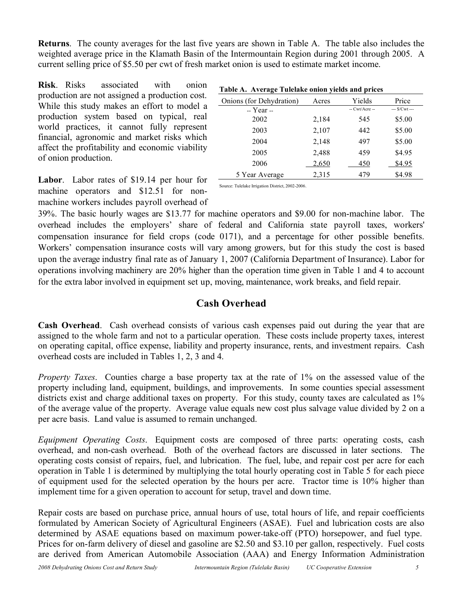**Returns**. The county averages for the last five years are shown in Table A. The table also includes the weighted average price in the Klamath Basin of the Intermountain Region during 2001 through 2005. A current selling price of \$5.50 per cwt of fresh market onion is used to estimate market income.

**Risk**. Risks associated with onion production are not assigned a production cost. While this study makes an effort to model a production system based on typical, real world practices, it cannot fully represent financial, agronomic and market risks which affect the profitability and economic viability of onion production.

**Labor**. Labor rates of \$19.14 per hour for machine operators and \$12.51 for nonmachine workers includes payroll overhead of

| $= 1.001$ |                |               |  |  |  |  |  |  |  |
|-----------|----------------|---------------|--|--|--|--|--|--|--|
| Acres     | Yields         | Price         |  |  |  |  |  |  |  |
|           | $-Cwt/Arcre -$ | $-$ S/Cwt $-$ |  |  |  |  |  |  |  |
| 2,184     | 545            | \$5.00        |  |  |  |  |  |  |  |
| 2,107     | 442            | \$5.00        |  |  |  |  |  |  |  |
| 2,148     | 497            | \$5.00        |  |  |  |  |  |  |  |
| 2,488     | 459            | \$4.95        |  |  |  |  |  |  |  |
| 2,650     | 450            | \$4.95        |  |  |  |  |  |  |  |
| 2,315     | 479            | \$4.98        |  |  |  |  |  |  |  |
|           |                |               |  |  |  |  |  |  |  |

### **Table A. Average Tulelake onion yields and prices**

Source: Tulelake Irrigation District, 2002-2006.

39%. The basic hourly wages are \$13.77 for machine operators and \$9.00 for non-machine labor. The overhead includes the employers' share of federal and California state payroll taxes, workers' compensation insurance for field crops (code 0171), and a percentage for other possible benefits. Workers' compensation insurance costs will vary among growers, but for this study the cost is based upon the average industry final rate as of January 1, 2007 (California Department of Insurance). Labor for operations involving machinery are 20% higher than the operation time given in Table 1 and 4 to account for the extra labor involved in equipment set up, moving, maintenance, work breaks, and field repair.

### **Cash Overhead**

**Cash Overhead**. Cash overhead consists of various cash expenses paid out during the year that are assigned to the whole farm and not to a particular operation. These costs include property taxes, interest on operating capital, office expense, liability and property insurance, rents, and investment repairs. Cash overhead costs are included in Tables 1, 2, 3 and 4.

*Property Taxes*. Counties charge a base property tax at the rate of 1% on the assessed value of the property including land, equipment, buildings, and improvements. In some counties special assessment districts exist and charge additional taxes on property. For this study, county taxes are calculated as  $1\%$ of the average value of the property. Average value equals new cost plus salvage value divided by 2 on a per acre basis. Land value is assumed to remain unchanged.

*Equipment Operating Costs*. Equipment costs are composed of three parts: operating costs, cash overhead, and non-cash overhead. Both of the overhead factors are discussed in later sections. The operating costs consist of repairs, fuel, and lubrication. The fuel, lube, and repair cost per acre for each operation in Table 1 is determined by multiplying the total hourly operating cost in Table 5 for each piece of equipment used for the selected operation by the hours per acre. Tractor time is 10% higher than implement time for a given operation to account for setup, travel and down time.

Repair costs are based on purchase price, annual hours of use, total hours of life, and repair coefficients formulated by American Society of Agricultural Engineers (ASAE). Fuel and lubrication costs are also determined by ASAE equations based on maximum power-take-off (PTO) horsepower, and fuel type. Prices for on-farm delivery of diesel and gasoline are \$2.50 and \$3.10 per gallon, respectively. Fuel costs are derived from American Automobile Association (AAA) and Energy Information Administration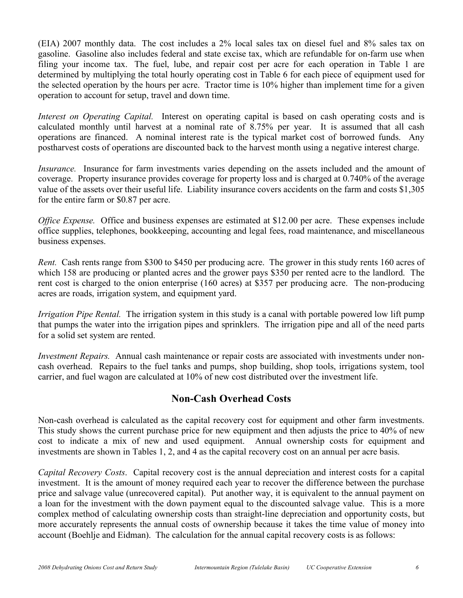(EIA) 2007 monthly data. The cost includes a 2% local sales tax on diesel fuel and 8% sales tax on gasoline. Gasoline also includes federal and state excise tax, which are refundable for on-farm use when filing your income tax. The fuel, lube, and repair cost per acre for each operation in Table 1 are determined by multiplying the total hourly operating cost in Table 6 for each piece of equipment used for the selected operation by the hours per acre. Tractor time is 10% higher than implement time for a given operation to account for setup, travel and down time.

*Interest on Operating Capital.* Interest on operating capital is based on cash operating costs and is calculated monthly until harvest at a nominal rate of 8.75% per year. It is assumed that all cash operations are financed. A nominal interest rate is the typical market cost of borrowed funds. Any postharvest costs of operations are discounted back to the harvest month using a negative interest charge.

*Insurance.* Insurance for farm investments varies depending on the assets included and the amount of coverage. Property insurance provides coverage for property loss and is charged at 0.740% of the average value of the assets over their useful life. Liability insurance covers accidents on the farm and costs \$1,305 for the entire farm or \$0.87 per acre.

*Office Expense.* Office and business expenses are estimated at \$12.00 per acre. These expenses include office supplies, telephones, bookkeeping, accounting and legal fees, road maintenance, and miscellaneous business expenses.

*Rent.* Cash rents range from \$300 to \$450 per producing acre. The grower in this study rents 160 acres of which 158 are producing or planted acres and the grower pays \$350 per rented acre to the landlord. The rent cost is charged to the onion enterprise (160 acres) at \$357 per producing acre. The non-producing acres are roads, irrigation system, and equipment yard.

*Irrigation Pipe Rental.* The irrigation system in this study is a canal with portable powered low lift pump that pumps the water into the irrigation pipes and sprinklers. The irrigation pipe and all of the need parts for a solid set system are rented.

*Investment Repairs.* Annual cash maintenance or repair costs are associated with investments under noncash overhead. Repairs to the fuel tanks and pumps, shop building, shop tools, irrigations system, tool carrier, and fuel wagon are calculated at 10% of new cost distributed over the investment life.

### **Non-Cash Overhead Costs**

Non-cash overhead is calculated as the capital recovery cost for equipment and other farm investments. This study shows the current purchase price for new equipment and then adjusts the price to 40% of new cost to indicate a mix of new and used equipment. Annual ownership costs for equipment and investments are shown in Tables 1, 2, and 4 as the capital recovery cost on an annual per acre basis.

*Capital Recovery Costs*. Capital recovery cost is the annual depreciation and interest costs for a capital investment. It is the amount of money required each year to recover the difference between the purchase price and salvage value (unrecovered capital). Put another way, it is equivalent to the annual payment on a loan for the investment with the down payment equal to the discounted salvage value. This is a more complex method of calculating ownership costs than straight-line depreciation and opportunity costs, but more accurately represents the annual costs of ownership because it takes the time value of money into account (Boehlje and Eidman). The calculation for the annual capital recovery costs is as follows: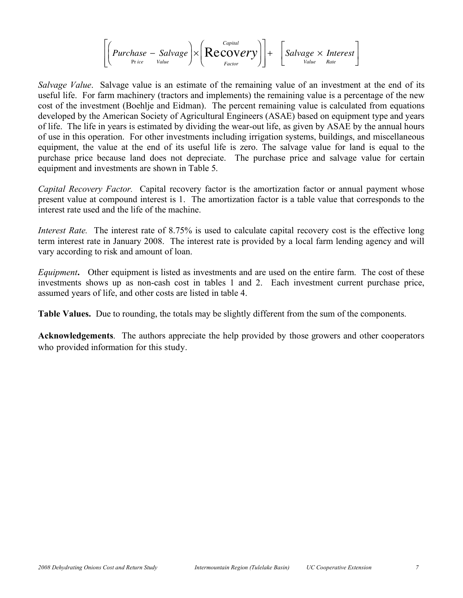$$
\left[\left(\text{Purchase} - \text{Salvage}\right) \times \left(\text{Recovery}\right)\right] + \left[\text{Salvage} \times \text{Interest}\right]
$$

Í *Salvage Value*. Salvage value is an estimate of the remaining value of an investment at the end of its useful life. For farm machinery (tractors and implements) the remaining value is a percentage of the new cost of the investment (Boehlje and Eidman). The percent remaining value is calculated from equations developed by the American Society of Agricultural Engineers (ASAE) based on equipment type and years of life. The life in years is estimated by dividing the wear-out life, as given by ASAE by the annual hours of use in this operation. For other investments including irrigation systems, buildings, and miscellaneous equipment, the value at the end of its useful life is zero. The salvage value for land is equal to the purchase price because land does not depreciate. The purchase price and salvage value for certain equipment and investments are shown in Table 5.

*Capital Recovery Factor.* Capital recovery factor is the amortization factor or annual payment whose present value at compound interest is 1. The amortization factor is a table value that corresponds to the interest rate used and the life of the machine.

*Interest Rate.* The interest rate of 8.75% is used to calculate capital recovery cost is the effective long term interest rate in January 2008. The interest rate is provided by a local farm lending agency and will vary according to risk and amount of loan.

*Equipment***.** Other equipment is listed as investments and are used on the entire farm. The cost of these investments shows up as non-cash cost in tables 1 and 2. Each investment current purchase price, assumed years of life, and other costs are listed in table 4.

**Table Values.** Due to rounding, the totals may be slightly different from the sum of the components.

**Acknowledgements**. The authors appreciate the help provided by those growers and other cooperators who provided information for this study.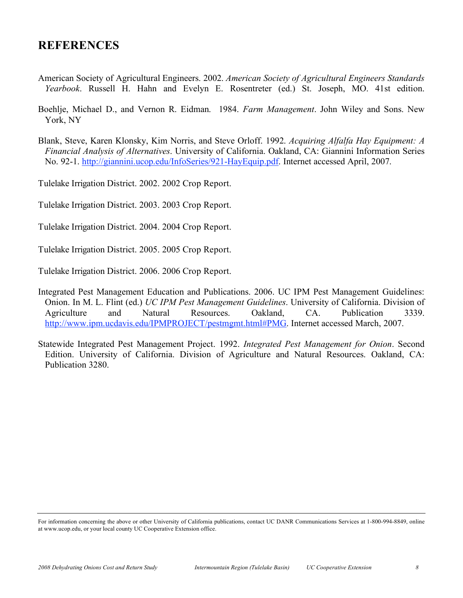## **REFERENCES**

- American Society of Agricultural Engineers. 2002. *American Society of Agricultural Engineers Standards Yearbook*. Russell H. Hahn and Evelyn E. Rosentreter (ed.) St. Joseph, MO. 41st edition.
- Boehlje, Michael D., and Vernon R. Eidman. 1984. *Farm Management*. John Wiley and Sons. New York, NY
- Blank, Steve, Karen Klonsky, Kim Norris, and Steve Orloff. 1992. *Acquiring Alfalfa Hay Equipment: A Financial Analysis of Alternatives*. University of California. Oakland, CA: Giannini Information Series No. 92-1. http://giannini.ucop.edu/InfoSeries/921-HayEquip.pdf. Internet accessed April, 2007.

Tulelake Irrigation District. 2002. 2002 Crop Report.

Tulelake Irrigation District. 2003. 2003 Crop Report.

Tulelake Irrigation District. 2004. 2004 Crop Report.

Tulelake Irrigation District. 2005. 2005 Crop Report.

Tulelake Irrigation District. 2006. 2006 Crop Report.

Integrated Pest Management Education and Publications. 2006. UC IPM Pest Management Guidelines: Onion. In M. L. Flint (ed.) *UC IPM Pest Management Guidelines*. University of California. Division of Agriculture and Natural Resources. Oakland, CA. Publication 3339. http://www.ipm.ucdavis.edu/IPMPROJECT/pestmgmt.html#PMG. Internet accessed March, 2007.

Statewide Integrated Pest Management Project. 1992. *Integrated Pest Management for Onion*. Second Edition. University of California. Division of Agriculture and Natural Resources. Oakland, CA: Publication 3280.

For information concerning the above or other University of California publications, contact UC DANR Communications Services at 1-800-994-8849, online at www.ucop.edu, or your local county UC Cooperative Extension office.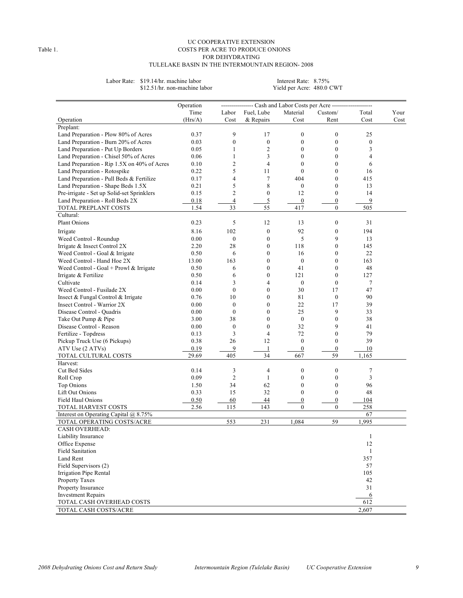#### UC COOPERATIVE EXTENSION Table 1. COSTS PER ACRE TO PRODUCE ONIONS FOR DEHYDRATING TULELAKE BASIN IN THE INTERMOUNTAIN REGION- 2008

Labor Rate: \$19.14/hr. machine labor Interest Rate: 8.75%<br>\$12.51/hr. non-machine labor Yield per Acre: 480.0 CWT \$12.51/hr. non-machine labor

|                                             | Operation    |                  |                  | --------------- Cash and Labor Costs per Acre ---------------- |                                |              |      |
|---------------------------------------------|--------------|------------------|------------------|----------------------------------------------------------------|--------------------------------|--------------|------|
|                                             | Time         | Labor            | Fuel, Lube       | Material                                                       | Custom/                        | Total        | Your |
| Operation                                   | (Hrs/A)      | Cost             | & Repairs        | Cost                                                           | Rent                           | Cost         | Cost |
| Preplant:                                   |              |                  |                  |                                                                |                                |              |      |
| Land Preparation - Plow 80% of Acres        | 0.37         | 9                | 17               | $\boldsymbol{0}$                                               | $\boldsymbol{0}$               | 25           |      |
| Land Preparation - Burn 20% of Acres        | 0.03         | $\boldsymbol{0}$ | $\boldsymbol{0}$ | $\boldsymbol{0}$                                               | $\mathbf{0}$                   | $\mathbf{0}$ |      |
| Land Preparation - Put Up Borders           | 0.05         | 1                | $\overline{c}$   | $\boldsymbol{0}$                                               | $\boldsymbol{0}$               | 3            |      |
| Land Preparation - Chisel 50% of Acres      | 0.06         | 1                | 3                | $\mathbf{0}$                                                   | $\mathbf{0}$                   | 4            |      |
| Land Preparation - Rip 1.5X on 40% of Acres | 0.10         | $\mathfrak{2}$   | $\overline{4}$   | $\boldsymbol{0}$                                               | $\boldsymbol{0}$               | 6            |      |
| Land Preparation - Rotospike                | 0.22         | 5                | 11               | $\mathbf{0}$                                                   | $\mathbf{0}$                   | 16           |      |
|                                             |              | 4                | $\tau$           |                                                                | $\mathbf{0}$                   | 415          |      |
| Land Preparation - Pull Beds & Fertilize    | 0.17         | 5                |                  | 404                                                            |                                |              |      |
| Land Preparation - Shape Beds 1.5X          | 0.21         |                  | 8                | $\boldsymbol{0}$                                               | $\boldsymbol{0}$               | 13           |      |
| Pre-irrigate - Set up Solid-set Sprinklers  | 0.15         | $\mathfrak{2}$   | $\boldsymbol{0}$ | 12                                                             | $\boldsymbol{0}$               | 14           |      |
| Land Preparation - Roll Beds 2X             | 0.18         | $\overline{4}$   | 5                | $\overline{0}$                                                 | $\boldsymbol{0}$               | 9            |      |
| TOTAL PREPLANT COSTS                        | 1.54         | 33               | 55               | 417                                                            | $\mathbf{0}$                   | 505          |      |
| Cultural:                                   |              |                  |                  |                                                                |                                |              |      |
| Plant Onions                                | 0.23         | 5                | 12               | 13                                                             | $\boldsymbol{0}$               | 31           |      |
| Irrigate                                    | 8.16         | 102              | $\boldsymbol{0}$ | 92                                                             | $\boldsymbol{0}$               | 194          |      |
| Weed Control - Roundup                      | 0.00         | $\boldsymbol{0}$ | $\boldsymbol{0}$ | 5                                                              | 9                              | 13           |      |
| Irrigate & Insect Control 2X                | 2.20         | 28               | $\mathbf{0}$     | 118                                                            | $\mathbf{0}$                   | 145          |      |
| Weed Control - Goal & Irrigate              | 0.50         | 6                | $\boldsymbol{0}$ | 16                                                             | $\boldsymbol{0}$               | 22           |      |
| Weed Control - Hand Hoe 2X                  | 13.00        | 163              | $\mathbf{0}$     | $\boldsymbol{0}$                                               | $\mathbf{0}$                   | 163          |      |
| Weed Control - Goal + Prowl & Irrigate      | 0.50         | 6                | $\boldsymbol{0}$ | 41                                                             | $\boldsymbol{0}$               | 48           |      |
| Irrigate & Fertilize                        | 0.50         | 6                | $\mathbf{0}$     | 121                                                            | $\mathbf{0}$                   | 127          |      |
| Cultivate                                   | 0.14         | 3                | 4                | $\boldsymbol{0}$                                               | $\mathbf{0}$                   | 7            |      |
| Weed Control - Fusilade 2X                  | 0.00         | $\mathbf{0}$     | $\boldsymbol{0}$ | 30                                                             | 17                             | 47           |      |
| Insect & Fungal Control & Irrigate          | 0.76         | 10               | $\mathbf{0}$     | 81                                                             | $\boldsymbol{0}$               | 90           |      |
| Insect Control - Warrior 2X                 | 0.00         | $\boldsymbol{0}$ | $\mathbf{0}$     | 22                                                             | 17                             | 39           |      |
| Disease Control - Quadris                   | 0.00         | $\mathbf{0}$     | $\mathbf{0}$     | 25                                                             | 9                              | 33           |      |
| Take Out Pump & Pipe                        | 3.00         | 38               | $\mathbf{0}$     | $\boldsymbol{0}$                                               | $\boldsymbol{0}$               | 38           |      |
| Disease Control - Reason                    | 0.00         | $\boldsymbol{0}$ | $\mathbf{0}$     | 32                                                             | 9                              | 41           |      |
| Fertilize - Topdress                        | 0.13         | 3                | 4                | 72                                                             | $\boldsymbol{0}$               | 79           |      |
| Pickup Truck Use (6 Pickups)                | 0.38         | 26               | 12               | $\boldsymbol{0}$                                               | $\mathbf{0}$                   | 39           |      |
| ATV Use (2 ATVs)                            | 0.19         | 9                | 1                | $\boldsymbol{0}$                                               | $\boldsymbol{0}$               | 10           |      |
| TOTAL CULTURAL COSTS                        | 29.69        | 405              | 34               | 667                                                            | 59                             | 1,165        |      |
| Harvest:                                    |              |                  |                  |                                                                |                                |              |      |
| Cut Bed Sides                               | 0.14         | 3                | 4                | $\boldsymbol{0}$                                               | $\boldsymbol{0}$               | 7            |      |
| Roll Crop                                   | 0.09         | $\overline{c}$   | $\mathbf{1}$     | $\boldsymbol{0}$                                               | $\mathbf{0}$                   | 3            |      |
| <b>Top Onions</b>                           | 1.50         | 34               | 62               | $\boldsymbol{0}$                                               | $\boldsymbol{0}$               | 96           |      |
| Lift Out Onions                             | 0.33         | 15               | 32               | $\boldsymbol{0}$                                               | $\mathbf{0}$                   | 48           |      |
| Field Haul Onions                           |              |                  |                  | $\boldsymbol{0}$                                               |                                |              |      |
| TOTAL HARVEST COSTS                         | 0.50<br>2.56 | 60<br>115        | 44<br>143        | $\mathbf{0}$                                                   | $\overline{0}$<br>$\mathbf{0}$ | 104<br>258   |      |
|                                             |              |                  |                  |                                                                |                                | 67           |      |
| Interest on Operating Capital $(a)$ 8.75%   |              | 553              | 231              | 1,084                                                          | 59                             | 1,995        |      |
| TOTAL OPERATING COSTS/ACRE                  |              |                  |                  |                                                                |                                |              |      |
| <b>CASH OVERHEAD:</b>                       |              |                  |                  |                                                                |                                |              |      |
| Liability Insurance                         |              |                  |                  |                                                                |                                |              |      |
| Office Expense                              |              |                  |                  |                                                                |                                | 12           |      |
| <b>Field Sanitation</b>                     |              |                  |                  |                                                                |                                | 1            |      |
| Land Rent                                   |              |                  |                  |                                                                |                                | 357          |      |
| Field Supervisors (2)                       |              |                  |                  |                                                                |                                | 57           |      |
| Irrigation Pipe Rental                      |              |                  |                  |                                                                |                                | 105          |      |
| Property Taxes                              |              |                  |                  |                                                                |                                | 42           |      |
| Property Insurance                          |              |                  |                  |                                                                |                                | 31           |      |
| <b>Investment Repairs</b>                   |              |                  |                  |                                                                |                                | 6            |      |
| TOTAL CASH OVERHEAD COSTS                   |              |                  |                  |                                                                |                                | 612          |      |
| TOTAL CASH COSTS/ACRE                       |              |                  |                  |                                                                |                                | 2,607        |      |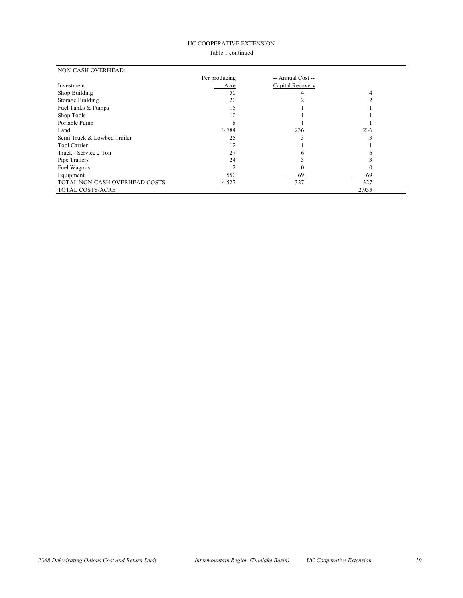#### UC COOPERATIVE EXTENSION

#### Table 1 continued

| <b>NON-CASH OVERHEAD:</b>     |               |                   |       |
|-------------------------------|---------------|-------------------|-------|
|                               | Per producing | -- Annual Cost -- |       |
| Investment                    | Acre          | Capital Recovery  |       |
| Shop Building                 | 50            |                   | 4     |
| Storage Building              | 20            |                   |       |
| Fuel Tanks & Pumps            | 15            |                   |       |
| Shop Tools                    | 10            |                   |       |
| Portable Pump                 |               |                   |       |
| Land                          | 3,784         | 236               | 236   |
| Semi Truck & Lowbed Trailer   | 25            |                   |       |
| Tool Carrier                  | 12            |                   |       |
| Truck - Service 2 Ton         | 27            | n                 |       |
| Pipe Trailers                 | 24            |                   |       |
| Fuel Wagons                   |               |                   |       |
| Equipment                     | 550           | 69                | 69    |
| TOTAL NON-CASH OVERHEAD COSTS | 4,527         | 327               | 327   |
| TOTAL COSTS/ACRE              |               |                   | 2,935 |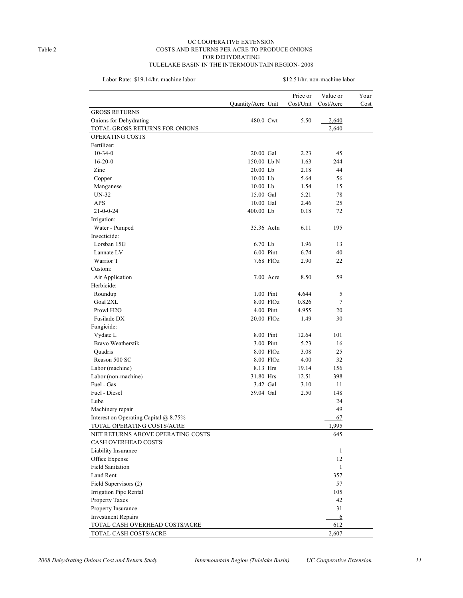#### UC COOPERATIVE EXTENSION Table 2 COSTS AND RETURNS PER ACRE TO PRODUCE ONIONS FOR DEHYDRATING TULELAKE BASIN IN THE INTERMOUNTAIN REGION- 2008

Labor Rate: \$19.14/hr. machine labor \$12.51/hr. non-machine labor

| Price or<br>Value or<br>Your<br>Cost/Unit<br>Quantity/Acre Unit<br>Cost/Acre<br>Cost<br><b>GROSS RETURNS</b><br>2,640<br>Onions for Dehydrating<br>480.0 Cwt<br>5.50<br>TOTAL GROSS RETURNS FOR ONIONS<br>2,640<br>OPERATING COSTS |
|------------------------------------------------------------------------------------------------------------------------------------------------------------------------------------------------------------------------------------|
|                                                                                                                                                                                                                                    |
|                                                                                                                                                                                                                                    |
|                                                                                                                                                                                                                                    |
|                                                                                                                                                                                                                                    |
|                                                                                                                                                                                                                                    |
| Fertilizer:                                                                                                                                                                                                                        |
| 20.00 Gal<br>2.23<br>45<br>$10-34-0$                                                                                                                                                                                               |
| $16-20-0$<br>150.00 Lb N<br>244<br>1.63                                                                                                                                                                                            |
| 44<br>Zinc<br>20.00 Lb<br>2.18                                                                                                                                                                                                     |
| 10.00 Lb<br>56<br>Copper<br>5.64                                                                                                                                                                                                   |
| 10.00 Lb<br>1.54<br>15<br>Manganese                                                                                                                                                                                                |
| 15.00 Gal<br>UN-32<br>5.21<br>78                                                                                                                                                                                                   |
| APS<br>10.00 Gal<br>2.46<br>25                                                                                                                                                                                                     |
| $21 - 0 - 0 - 24$<br>400.00 Lb<br>72<br>0.18                                                                                                                                                                                       |
| Irrigation:                                                                                                                                                                                                                        |
| Water - Pumped<br>6.11<br>195<br>35.36 AcIn                                                                                                                                                                                        |
| Insecticide:                                                                                                                                                                                                                       |
| Lorsban 15G<br>6.70 Lb<br>1.96<br>13                                                                                                                                                                                               |
| Lannate LV<br>6.00 Pint<br>6.74<br>40                                                                                                                                                                                              |
| Warrior T<br>7.68 FlOz<br>22<br>2.90                                                                                                                                                                                               |
| Custom:                                                                                                                                                                                                                            |
| 59<br>Air Application<br>7.00 Acre<br>8.50                                                                                                                                                                                         |
| Herbicide:                                                                                                                                                                                                                         |
| 1.00 Pint<br>4.644<br>5<br>Roundup                                                                                                                                                                                                 |
| Goal 2XL<br>8.00 FlOz<br>7<br>0.826                                                                                                                                                                                                |
| 4.00 Pint<br>20<br>Prowl H <sub>2</sub> O<br>4.955                                                                                                                                                                                 |
| Fusilade DX<br>20.00 FlOz<br>30<br>1.49                                                                                                                                                                                            |
| Fungicide:                                                                                                                                                                                                                         |
| 8.00 Pint<br>101<br>Vydate L<br>12.64                                                                                                                                                                                              |
| Bravo Weatherstik<br>3.00 Pint<br>5.23<br>16                                                                                                                                                                                       |
| 8.00 FlOz<br>25<br>Quadris<br>3.08                                                                                                                                                                                                 |
| Reason 500 SC<br>8.00 FlOz<br>32<br>4.00                                                                                                                                                                                           |
| 8.13 Hrs<br>156<br>Labor (machine)<br>19.14                                                                                                                                                                                        |
| 31.80 Hrs<br>398<br>Labor (non-machine)<br>12.51                                                                                                                                                                                   |
| Fuel - Gas<br>3.10<br>3.42 Gal<br>11                                                                                                                                                                                               |
| Fuel - Diesel<br>59.04 Gal<br>2.50<br>148                                                                                                                                                                                          |
| Lube<br>24                                                                                                                                                                                                                         |
| 49<br>Machinery repair                                                                                                                                                                                                             |
| Interest on Operating Capital @ 8.75%<br>67                                                                                                                                                                                        |
| 1.995<br>TOTAL OPERATING COSTS/ACRE                                                                                                                                                                                                |
| NET RETURNS ABOVE OPERATING COSTS<br>645                                                                                                                                                                                           |
| <b>CASH OVERHEAD COSTS:</b>                                                                                                                                                                                                        |
| Liability Insurance<br>1                                                                                                                                                                                                           |
| Office Expense<br>12                                                                                                                                                                                                               |
| <b>Field Sanitation</b><br>1                                                                                                                                                                                                       |
| Land Rent<br>357                                                                                                                                                                                                                   |
| Field Supervisors (2)<br>57                                                                                                                                                                                                        |
| Irrigation Pipe Rental<br>105                                                                                                                                                                                                      |
| 42<br>Property Taxes                                                                                                                                                                                                               |
| Property Insurance<br>31                                                                                                                                                                                                           |
| <b>Investment Repairs</b><br>6                                                                                                                                                                                                     |
| TOTAL CASH OVERHEAD COSTS/ACRE<br>612                                                                                                                                                                                              |
| TOTAL CASH COSTS/ACRE<br>2,607                                                                                                                                                                                                     |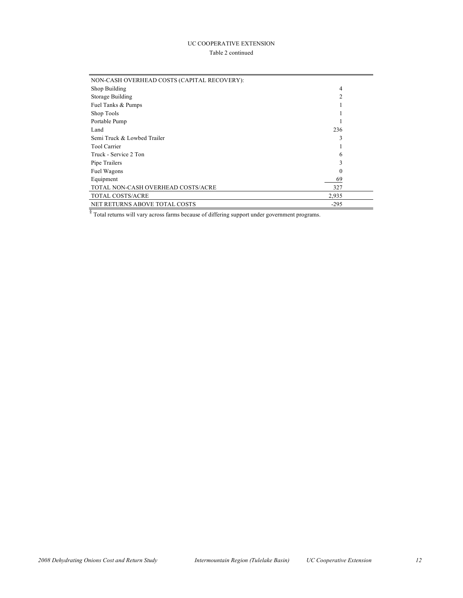#### UC COOPERATIVE EXTENSION Table 2 continued

| NON-CASH OVERHEAD COSTS (CAPITAL RECOVERY): |        |  |
|---------------------------------------------|--------|--|
| Shop Building                               | 4      |  |
| Storage Building                            | າ      |  |
| Fuel Tanks & Pumps                          |        |  |
| Shop Tools                                  |        |  |
| Portable Pump                               |        |  |
| Land                                        | 236    |  |
| Semi Truck & Lowbed Trailer                 | 3      |  |
| <b>Tool Carrier</b>                         |        |  |
| Truck - Service 2 Ton                       | 6      |  |
| Pipe Trailers                               |        |  |
| Fuel Wagons                                 | 0      |  |
| Equipment                                   | 69     |  |
| TOTAL NON-CASH OVERHEAD COSTS/ACRE          | 327    |  |
| TOTAL COSTS/ACRE                            | 2,935  |  |
| <b>NET RETURNS ABOVE TOTAL COSTS</b>        | $-295$ |  |

 $\sqrt{8}$  Total returns will vary across farms because of differing support under government programs.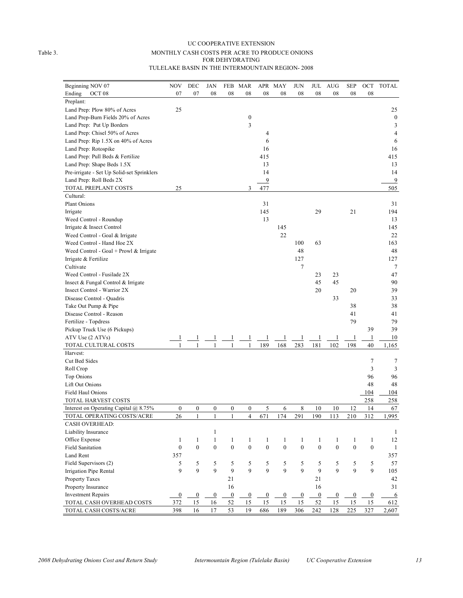#### UC COOPERATIVE EXTENSION Table 3. MONTHLY CASH COSTS PER ACRE TO PRODUCE ONIONS FOR DEHYDRATING TULELAKE BASIN IN THE INTERMOUNTAIN REGION- 2008

| Beginning NOV 07                           | <b>NOV</b>       | DEC              | JAN              | FEB              | <b>MAR</b>       |                  | APR MAY          | <b>JUN</b>       | JUL              | AUG              | <b>SEP</b>       | OCT              | <b>TOTAL</b>     |
|--------------------------------------------|------------------|------------------|------------------|------------------|------------------|------------------|------------------|------------------|------------------|------------------|------------------|------------------|------------------|
| Ending<br>OCT <sub>08</sub>                | 07               | 07               | 08               | 08               | 08               | 08               | 08               | 08               | 08               | 08               | 08               | 08               |                  |
| Preplant:                                  |                  |                  |                  |                  |                  |                  |                  |                  |                  |                  |                  |                  |                  |
| Land Prep: Plow 80% of Acres               | 25               |                  |                  |                  |                  |                  |                  |                  |                  |                  |                  |                  | 25               |
| Land Prep-Burn Fields 20% of Acres         |                  |                  |                  |                  | $\boldsymbol{0}$ |                  |                  |                  |                  |                  |                  |                  | $\boldsymbol{0}$ |
|                                            |                  |                  |                  |                  | 3                |                  |                  |                  |                  |                  |                  |                  | 3                |
| Land Prep: Put Up Borders                  |                  |                  |                  |                  |                  |                  |                  |                  |                  |                  |                  |                  | 4                |
| Land Prep: Chisel 50% of Acres             |                  |                  |                  |                  |                  | 4                |                  |                  |                  |                  |                  |                  |                  |
| Land Prep: Rip 1.5X on 40% of Acres        |                  |                  |                  |                  |                  | 6                |                  |                  |                  |                  |                  |                  | 6                |
| Land Prep: Rotospike                       |                  |                  |                  |                  |                  | 16               |                  |                  |                  |                  |                  |                  | 16               |
| Land Prep: Pull Beds & Fertilize           |                  |                  |                  |                  |                  | 415              |                  |                  |                  |                  |                  |                  | 415              |
| Land Prep: Shape Beds 1.5X                 |                  |                  |                  |                  |                  | 13               |                  |                  |                  |                  |                  |                  | 13               |
| Pre-irrigate - Set Up Solid-set Sprinklers |                  |                  |                  |                  |                  | 14               |                  |                  |                  |                  |                  |                  | 14               |
| Land Prep: Roll Beds 2X                    |                  |                  |                  |                  |                  | 9                |                  |                  |                  |                  |                  |                  | 9                |
| TOTAL PREPLANT COSTS                       | 25               |                  |                  |                  | 3                | 477              |                  |                  |                  |                  |                  |                  | 505              |
| Cultural:                                  |                  |                  |                  |                  |                  |                  |                  |                  |                  |                  |                  |                  |                  |
| Plant Onions                               |                  |                  |                  |                  |                  | 31               |                  |                  |                  |                  |                  |                  | 31               |
| Irrigate                                   |                  |                  |                  |                  |                  | 145              |                  |                  | 29               |                  | 21               |                  | 194              |
| Weed Control - Roundup                     |                  |                  |                  |                  |                  | 13               |                  |                  |                  |                  |                  |                  | 13               |
| Irrigate & Insect Control                  |                  |                  |                  |                  |                  |                  | 145              |                  |                  |                  |                  |                  | 145              |
| Weed Control - Goal & Irrigate             |                  |                  |                  |                  |                  |                  | 22               |                  |                  |                  |                  |                  | 22               |
| Weed Control - Hand Hoe 2X                 |                  |                  |                  |                  |                  |                  |                  | 100              | 63               |                  |                  |                  | 163              |
| Weed Control - Goal + Prowl $&$ Irrigate   |                  |                  |                  |                  |                  |                  |                  | 48               |                  |                  |                  |                  | 48               |
| Irrigate & Fertilize                       |                  |                  |                  |                  |                  |                  |                  | 127              |                  |                  |                  |                  | 127              |
| Cultivate                                  |                  |                  |                  |                  |                  |                  |                  | 7                |                  |                  |                  |                  | 7                |
| Weed Control - Fusilade 2X                 |                  |                  |                  |                  |                  |                  |                  |                  | 23               | 23               |                  |                  | 47               |
| Insect & Fungal Control & Irrigate         |                  |                  |                  |                  |                  |                  |                  |                  | 45               | 45               |                  |                  | 90               |
| Insect Control - Warrior 2X                |                  |                  |                  |                  |                  |                  |                  |                  | 20               |                  | 20               |                  | 39               |
| Disease Control - Quadris                  |                  |                  |                  |                  |                  |                  |                  |                  |                  | 33               |                  |                  | 33               |
| Take Out Pump & Pipe                       |                  |                  |                  |                  |                  |                  |                  |                  |                  |                  | 38               |                  | 38               |
| Disease Control - Reason                   |                  |                  |                  |                  |                  |                  |                  |                  |                  |                  | 41               |                  | 41               |
| Fertilize - Topdress                       |                  |                  |                  |                  |                  |                  |                  |                  |                  |                  | 79               |                  | 79               |
| Pickup Truck Use (6 Pickups)               |                  |                  |                  |                  |                  |                  |                  |                  |                  |                  |                  | 39               | 39               |
| ATV Use (2 ATVs)                           |                  |                  |                  |                  |                  |                  |                  |                  |                  |                  | $\mathbf{1}$     | $\mathbf{1}$     | 10               |
| TOTAL CULTURAL COSTS                       | 1                |                  | 1                | 1                | 1                | 189              | 168              | 283              | 181              | 102              | 198              | 40               | 1,165            |
| Harvest:                                   |                  |                  |                  |                  |                  |                  |                  |                  |                  |                  |                  |                  |                  |
| Cut Bed Sides                              |                  |                  |                  |                  |                  |                  |                  |                  |                  |                  |                  | 7                |                  |
| Roll Crop                                  |                  |                  |                  |                  |                  |                  |                  |                  |                  |                  |                  | 3                | 7<br>3           |
|                                            |                  |                  |                  |                  |                  |                  |                  |                  |                  |                  |                  | 96               | 96               |
| Top Onions                                 |                  |                  |                  |                  |                  |                  |                  |                  |                  |                  |                  |                  |                  |
| Lift Out Onions                            |                  |                  |                  |                  |                  |                  |                  |                  |                  |                  |                  | 48               | 48               |
| Field Haul Onions                          |                  |                  |                  |                  |                  |                  |                  |                  |                  |                  |                  | 104              | <u>104</u>       |
| TOTAL HARVEST COSTS                        |                  |                  |                  |                  |                  |                  |                  |                  |                  |                  |                  | 258              | 258              |
| Interest on Operating Capital $@$ 8.75%    | $\boldsymbol{0}$ | $\boldsymbol{0}$ | 0                | $\boldsymbol{0}$ | $\boldsymbol{0}$ | 5                | 6                | 8                | 10               | 10               | 12               | 14               | 67               |
| TOTAL OPERATING COSTS/ACRE                 | 26               | 1                | 1                | 1                | 4                | 671              | 174              | 291              | 190              | 113              | 210              | 312              | 1,995            |
| CASH OVERHEAD:                             |                  |                  |                  |                  |                  |                  |                  |                  |                  |                  |                  |                  |                  |
| Liability Insurance                        |                  |                  | $\mathbf{1}$     |                  |                  |                  |                  |                  |                  |                  |                  |                  | $\mathbf{1}$     |
| Office Expense                             | $\mathbf{1}$     | 1                | $\mathbf{1}$     | 1                | $\mathbf{1}$     | $\mathbf{1}$     | 1                | 1                | 1                | 1                | 1                | $\mathbf{1}$     | 12               |
| <b>Field Sanitation</b>                    | $\boldsymbol{0}$ | $\boldsymbol{0}$ | $\mathbf{0}$     | $\boldsymbol{0}$ | $\boldsymbol{0}$ | $\boldsymbol{0}$ | $\boldsymbol{0}$ | $\boldsymbol{0}$ | $\boldsymbol{0}$ | $\boldsymbol{0}$ | $\boldsymbol{0}$ | $\boldsymbol{0}$ | $\mathbf{1}$     |
| Land Rent                                  | 357              |                  |                  |                  |                  |                  |                  |                  |                  |                  |                  |                  | 357              |
| Field Supervisors (2)                      | 5                | 5                | 5                | 5                | 5                | 5                | 5                | 5                | 5                | 5                | 5                | 5                | 57               |
| Irrigation Pipe Rental                     | 9                | 9                | 9                | 9                | 9                | 9                | 9                | 9                | 9                | 9                | 9                | 9                | 105              |
| Property Taxes                             |                  |                  |                  | 21               |                  |                  |                  |                  | 21               |                  |                  |                  | 42               |
| Property Insurance                         |                  |                  |                  | 16               |                  |                  |                  |                  | 16               |                  |                  |                  | 31               |
| <b>Investment Repairs</b>                  | $\boldsymbol{0}$ | $\boldsymbol{0}$ | $\boldsymbol{0}$ | $\overline{0}$   | $\overline{0}$   | $\overline{0}$   | $\boldsymbol{0}$ | $\bf{0}$         | $\boldsymbol{0}$ | $\boldsymbol{0}$ | $\overline{0}$   | $\overline{0}$   | 6                |
| TOTAL CASH OVERHEAD COSTS                  | 372              | 15               | 16               | 52               | 15               | 15               | 15               | 15               | 52               | 15               | 15               | 15               | 612              |
| TOTAL CASH COSTS/ACRE                      | 398              | 16               | 17               | 53               | 19               | 686              | 189              | 306              | 242              | 128              | 225              | 327              | 2,607            |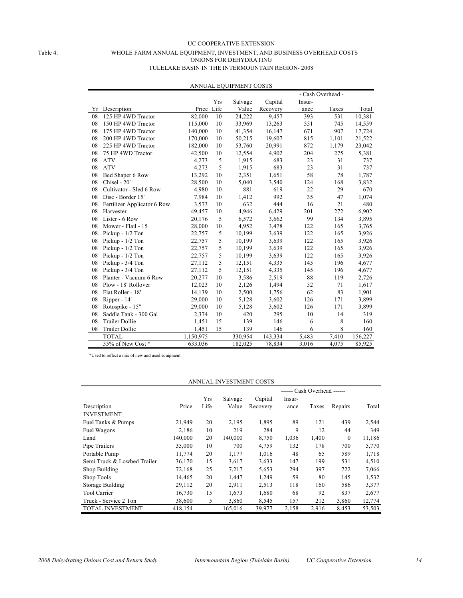#### UC COOPERATIVE EXTENSION Table 4. WHOLE FARM ANNUAL EQUIPMENT, INVESTMENT, AND BUSINESS OVERHEAD COSTS ONIONS FOR DEHYDRATING TULELAKE BASIN IN THE INTERMOUNTAIN REGION- 2008

|    |                             | - Cash Overhead - |      |         |          |        |       |         |
|----|-----------------------------|-------------------|------|---------|----------|--------|-------|---------|
|    |                             |                   | Yrs  | Salvage | Capital  | Insur- |       |         |
| Yr | Description                 | Price             | Life | Value   | Recovery | ance   | Taxes | Total   |
| 08 | 125 HP 4WD Tractor          | 82,000            | 10   | 24,222  | 9,457    | 393    | 531   | 10,381  |
| 08 | 150 HP 4WD Tractor          | 115,000           | 10   | 33,969  | 13,263   | 551    | 745   | 14,559  |
| 08 | 175 HP 4WD Tractor          | 140,000           | 10   | 41,354  | 16,147   | 671    | 907   | 17,724  |
| 08 | 200 HP 4WD Tractor          | 170,000           | 10   | 50,215  | 19,607   | 815    | 1,101 | 21,522  |
| 08 | 225 HP 4WD Tractor          | 182,000           | 10   | 53,760  | 20,991   | 872    | 1,179 | 23,042  |
| 08 | 75 HP 4WD Tractor           | 42,500            | 10   | 12,554  | 4,902    | 204    | 275   | 5,381   |
| 08 | <b>ATV</b>                  | 4,273             | 5    | 1,915   | 683      | 23     | 31    | 737     |
| 08 | <b>ATV</b>                  | 4,273             | 5    | 1,915   | 683      | 23     | 31    | 737     |
| 08 | Bed Shaper 6 Row            | 13,292            | 10   | 2,351   | 1,651    | 58     | 78    | 1,787   |
| 08 | Chisel - 20'                | 28,500            | 10   | 5,040   | 3,540    | 124    | 168   | 3,832   |
| 08 | Cultivator - Sled 6 Row     | 4,980             | 10   | 881     | 619      | 22     | 29    | 670     |
| 08 | Disc - Border 15'           | 7,984             | 10   | 1,412   | 992      | 35     | 47    | 1,074   |
| 08 | Fertilizer Applicator 6 Row | 3,573             | 10   | 632     | 444      | 16     | 21    | 480     |
| 08 | Harvester                   | 49,457            | 10   | 4,946   | 6,429    | 201    | 272   | 6,902   |
| 08 | Lister - 6 Row              | 20,176            | 5    | 6,572   | 3,662    | 99     | 134   | 3,895   |
| 08 | Mower - Flail - 15          | 28,000            | 10   | 4,952   | 3,478    | 122    | 165   | 3,765   |
| 08 | Pickup $-1/2$ Ton           | 22,757            | 5    | 10,199  | 3,639    | 122    | 165   | 3,926   |
| 08 | Pickup - 1/2 Ton            | 22,757            | 5    | 10,199  | 3,639    | 122    | 165   | 3,926   |
| 08 | Pickup - 1/2 Ton            | 22,757            | 5    | 10,199  | 3,639    | 122    | 165   | 3,926   |
| 08 | Pickup - 1/2 Ton            | 22,757            | 5    | 10,199  | 3,639    | 122    | 165   | 3,926   |
| 08 | Pickup - 3/4 Ton            | 27,112            | 5    | 12,151  | 4,335    | 145    | 196   | 4,677   |
| 08 | Pickup - 3/4 Ton            | 27,112            | 5    | 12,151  | 4,335    | 145    | 196   | 4,677   |
| 08 | Planter - Vacuum 6 Row      | 20,277            | 10   | 3,586   | 2,519    | 88     | 119   | 2,726   |
| 08 | Plow - 18' Rollover         | 12,023            | 10   | 2,126   | 1,494    | 52     | 71    | 1,617   |
| 08 | Flat Roller - 18'           | 14,139            | 10   | 2,500   | 1,756    | 62     | 83    | 1,901   |
| 08 | Ripper - 14'                | 29,000            | 10   | 5,128   | 3,602    | 126    | 171   | 3,899   |
| 08 | Rotospike - 15"             | 29,000            | 10   | 5,128   | 3,602    | 126    | 171   | 3,899   |
| 08 | Saddle Tank - 300 Gal       | 2,374             | 10   | 420     | 295      | 10     | 14    | 319     |
| 08 | <b>Trailer Dollie</b>       | 1,451             | 15   | 139     | 146      | 6      | 8     | 160     |
| 08 | <b>Trailer Dollie</b>       | 1,451             | 15   | 139     | 146      | 6      | 8     | 160     |
|    | <b>TOTAL</b>                | 1,150,975         |      | 330,954 | 143,334  | 5,483  | 7,410 | 156,227 |
|    | 55% of New Cost *           | 633,036           |      | 182,025 | 78,834   | 3,016  | 4,075 | 85,925  |

#### ANNUAL EQUIPMENT COSTS

\*Used to reflect a mix of new and used equipment

| ANNUAL INVESTMENT COSTS     |         |      |         |          |        |       |              |        |  |
|-----------------------------|---------|------|---------|----------|--------|-------|--------------|--------|--|
| ------ Cash Overhead ------ |         |      |         |          |        |       |              |        |  |
|                             |         | Yrs  | Salvage | Capital  | Insur- |       |              |        |  |
| Description                 | Price   | Life | Value   | Recovery | ance   | Taxes | Repairs      | Total  |  |
| <b>INVESTMENT</b>           |         |      |         |          |        |       |              |        |  |
| Fuel Tanks & Pumps          | 21,949  | 20   | 2,195   | 1,895    | 89     | 121   | 439          | 2,544  |  |
| Fuel Wagons                 | 2,186   | 10   | 219     | 284      | 9      | 12    | 44           | 349    |  |
| Land                        | 140,000 | 20   | 140,000 | 8,750    | 1,036  | 1,400 | $\mathbf{0}$ | 11,186 |  |
| Pipe Trailers               | 35,000  | 10   | 700     | 4,759    | 132    | 178   | 700          | 5,770  |  |
| Portable Pump               | 11,774  | 20   | 1,177   | 1,016    | 48     | 65    | 589          | 1,718  |  |
| Semi Truck & Lowbed Trailer | 36,170  | 15   | 3,617   | 3,633    | 147    | 199   | 531          | 4,510  |  |
| Shop Building               | 72,168  | 25   | 7,217   | 5,653    | 294    | 397   | 722          | 7,066  |  |
| Shop Tools                  | 14,465  | 20   | 1,447   | 1,249    | 59     | 80    | 145          | 1,532  |  |
| Storage Building            | 29,112  | 20   | 2,911   | 2,513    | 118    | 160   | 586          | 3,377  |  |
| <b>Tool Carrier</b>         | 16,730  | 15   | 1,673   | 1,680    | 68     | 92    | 837          | 2,677  |  |
| Truck - Service 2 Ton       | 38,600  | 5    | 3,860   | 8,545    | 157    | 212   | 3,860        | 12,774 |  |
| <b>TOTAL INVESTMENT</b>     | 418,154 |      | 165,016 | 39,977   | 2,158  | 2,916 | 8,453        | 53,503 |  |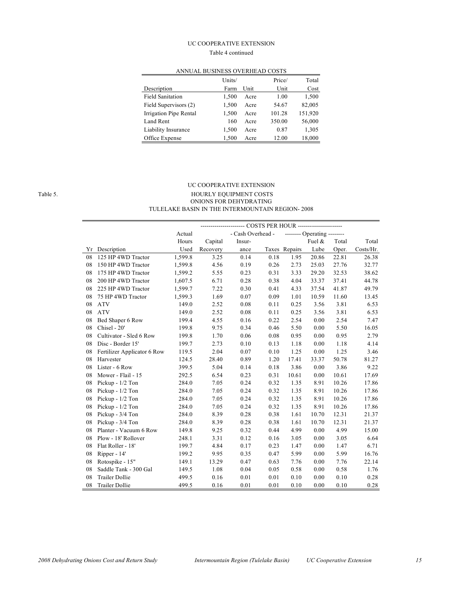#### UC COOPERATIVE EXTENSION

#### Table 4 continued

|                         | Units/ |      | Price/ | Total   |
|-------------------------|--------|------|--------|---------|
| Description             | Farm   | Unit | Unit   | Cost    |
| <b>Field Sanitation</b> | 1,500  | Acre | 1.00   | 1,500   |
| Field Supervisors (2)   | 1,500  | Acre | 54.67  | 82,005  |
| Irrigation Pipe Rental  | 1,500  | Acre | 101.28 | 151,920 |
| Land Rent               | 160    | Acre | 350.00 | 56,000  |
| Liability Insurance     | 1,500  | Acre | 0.87   | 1,305   |
| Office Expense          | 1.500  | Acre | 12.00  | 18,000  |

### ANNUAL BUSINESS OVERHEAD COSTS

 $\overline{a}$ 

#### UC COOPERATIVE EXTENSION Table 5. The state of the state of the HOURLY EQUIPMENT COSTS ONIONS FOR DEHYDRATING TULELAKE BASIN IN THE INTERMOUNTAIN REGION- 2008

|    | ---- COSTS PER HOUR ---------------------- |         |          |                   |      |               |                             |       |           |  |
|----|--------------------------------------------|---------|----------|-------------------|------|---------------|-----------------------------|-------|-----------|--|
|    |                                            | Actual  |          | - Cash Overhead - |      |               | -------- Operating -------- |       |           |  |
|    |                                            | Hours   | Capital  | Insur-            |      |               | Fuel &                      | Total | Total     |  |
| Yr | Description                                | Used    | Recovery | ance              |      | Taxes Repairs | Lube                        | Oper. | Costs/Hr. |  |
| 08 | 125 HP 4WD Tractor                         | 1,599.8 | 3.25     | 0.14              | 0.18 | 1.95          | 20.86                       | 22.81 | 26.38     |  |
| 08 | 150 HP 4WD Tractor                         | 1,599.8 | 4.56     | 0.19              | 0.26 | 2.73          | 25.03                       | 27.76 | 32.77     |  |
| 08 | 175 HP 4WD Tractor                         | 1,599.2 | 5.55     | 0.23              | 0.31 | 3.33          | 29.20                       | 32.53 | 38.62     |  |
| 08 | 200 HP 4WD Tractor                         | 1,607.5 | 6.71     | 0.28              | 0.38 | 4.04          | 33.37                       | 37.41 | 44.78     |  |
| 08 | 225 HP 4WD Tractor                         | 1,599.7 | 7.22     | 0.30              | 0.41 | 4.33          | 37.54                       | 41.87 | 49.79     |  |
| 08 | 75 HP 4WD Tractor                          | 1,599.3 | 1.69     | 0.07              | 0.09 | 1.01          | 10.59                       | 11.60 | 13.45     |  |
| 08 | <b>ATV</b>                                 | 149.0   | 2.52     | 0.08              | 0.11 | 0.25          | 3.56                        | 3.81  | 6.53      |  |
| 08 | <b>ATV</b>                                 | 149.0   | 2.52     | 0.08              | 0.11 | 0.25          | 3.56                        | 3.81  | 6.53      |  |
| 08 | Bed Shaper 6 Row                           | 199.4   | 4.55     | 0.16              | 0.22 | 2.54          | 0.00                        | 2.54  | 7.47      |  |
| 08 | Chisel - 20'                               | 199.8   | 9.75     | 0.34              | 0.46 | 5.50          | 0.00                        | 5.50  | 16.05     |  |
| 08 | Cultivator - Sled 6 Row                    | 199.8   | 1.70     | 0.06              | 0.08 | 0.95          | 0.00                        | 0.95  | 2.79      |  |
| 08 | Disc - Border 15'                          | 199.7   | 2.73     | 0.10              | 0.13 | 1.18          | 0.00                        | 1.18  | 4.14      |  |
| 08 | Fertilizer Applicator 6 Row                | 119.5   | 2.04     | 0.07              | 0.10 | 1.25          | 0.00                        | 1.25  | 3.46      |  |
| 08 | Harvester                                  | 124.5   | 28.40    | 0.89              | 1.20 | 17.41         | 33.37                       | 50.78 | 81.27     |  |
| 08 | Lister - 6 Row                             | 399.5   | 5.04     | 0.14              | 0.18 | 3.86          | 0.00                        | 3.86  | 9.22      |  |
| 08 | Mower - Flail - 15                         | 292.5   | 6.54     | 0.23              | 0.31 | 10.61         | 0.00                        | 10.61 | 17.69     |  |
| 08 | Pickup - 1/2 Ton                           | 284.0   | 7.05     | 0.24              | 0.32 | 1.35          | 8.91                        | 10.26 | 17.86     |  |
| 08 | Pickup - 1/2 Ton                           | 284.0   | 7.05     | 0.24              | 0.32 | 1.35          | 8.91                        | 10.26 | 17.86     |  |
| 08 | Pickup - 1/2 Ton                           | 284.0   | 7.05     | 0.24              | 0.32 | 1.35          | 8.91                        | 10.26 | 17.86     |  |
| 08 | Pickup - 1/2 Ton                           | 284.0   | 7.05     | 0.24              | 0.32 | 1.35          | 8.91                        | 10.26 | 17.86     |  |
| 08 | Pickup - 3/4 Ton                           | 284.0   | 8.39     | 0.28              | 0.38 | 1.61          | 10.70                       | 12.31 | 21.37     |  |
| 08 | Pickup - 3/4 Ton                           | 284.0   | 8.39     | 0.28              | 0.38 | 1.61          | 10.70                       | 12.31 | 21.37     |  |
| 08 | Planter - Vacuum 6 Row                     | 149.8   | 9.25     | 0.32              | 0.44 | 4.99          | 0.00                        | 4.99  | 15.00     |  |
| 08 | Plow - 18' Rollover                        | 248.1   | 3.31     | 0.12              | 0.16 | 3.05          | 0.00                        | 3.05  | 6.64      |  |
| 08 | Flat Roller - 18'                          | 199.7   | 4.84     | 0.17              | 0.23 | 1.47          | 0.00                        | 1.47  | 6.71      |  |
| 08 | Ripper - 14'                               | 199.2   | 9.95     | 0.35              | 0.47 | 5.99          | 0.00                        | 5.99  | 16.76     |  |
| 08 | Rotospike - 15"                            | 149.1   | 13.29    | 0.47              | 0.63 | 7.76          | 0.00                        | 7.76  | 22.14     |  |
| 08 | Saddle Tank - 300 Gal                      | 149.5   | 1.08     | 0.04              | 0.05 | 0.58          | 0.00                        | 0.58  | 1.76      |  |
| 08 | <b>Trailer Dollie</b>                      | 499.5   | 0.16     | 0.01              | 0.01 | 0.10          | 0.00                        | 0.10  | 0.28      |  |
| 08 | <b>Trailer Dollie</b>                      | 499.5   | 0.16     | 0.01              | 0.01 | 0.10          | 0.00                        | 0.10  | 0.28      |  |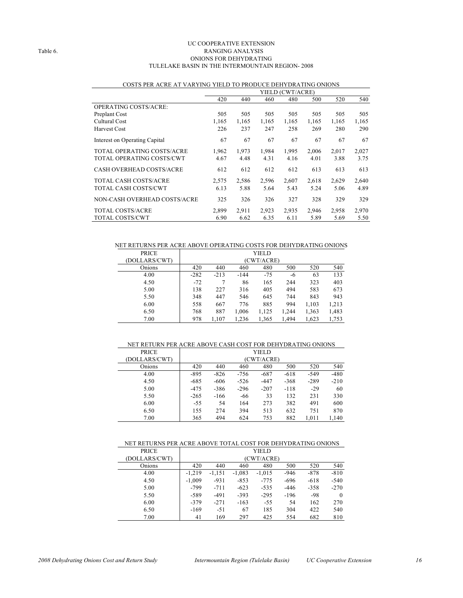#### UC COOPERATIVE EXTENSION Table 6. RANGING ANALYSIS ONIONS FOR DEHYDRATING TULELAKE BASIN IN THE INTERMOUNTAIN REGION- 2008

|                                 | YIELD (CWT/ACRE) |       |       |       |       |       |       |
|---------------------------------|------------------|-------|-------|-------|-------|-------|-------|
|                                 | 420              | 440   | 460   | 480   | 500   | 520   | 540   |
| <b>OPERATING COSTS/ACRE:</b>    |                  |       |       |       |       |       |       |
| Preplant Cost                   | 505              | 505   | 505   | 505   | 505   | 505   | 505   |
| Cultural Cost                   | 1,165            | 1,165 | 1,165 | 1,165 | 1,165 | 1,165 | 1,165 |
| <b>Harvest Cost</b>             | 226              | 237   | 247   | 258   | 269   | 280   | 290   |
| Interest on Operating Capital   | 67               | 67    | 67    | 67    | 67    | 67    | 67    |
| TOTAL OPERATING COSTS/ACRE      | 1.962            | 1.973 | 1.984 | 1,995 | 2.006 | 2,017 | 2,027 |
| TOTAL OPERATING COSTS/CWT       | 4.67             | 4.48  | 4.31  | 4.16  | 4.01  | 3.88  | 3.75  |
| <b>CASH OVERHEAD COSTS/ACRE</b> | 612              | 612   | 612   | 612   | 613   | 613   | 613   |
| TOTAL CASH COSTS/ACRE           | 2,575            | 2,586 | 2,596 | 2,607 | 2,618 | 2,629 | 2,640 |
| TOTAL CASH COSTS/CWT            | 6.13             | 5.88  | 5.64  | 5.43  | 5.24  | 5.06  | 4.89  |
| NON-CASH OVERHEAD COSTS/ACRE    | 325              | 326   | 326   | 327   | 328   | 329   | 329   |
| <b>TOTAL COSTS/ACRE</b>         | 2.899            | 2,911 | 2,923 | 2,935 | 2,946 | 2,958 | 2,970 |
| <b>TOTAL COSTS/CWT</b>          | 6.90             | 6.62  | 6.35  | 6.11  | 5.89  | 5.69  | 5.50  |

#### COSTS PER ACRE AT VARYING YIELD TO PRODUCE DEHYDRATING ONIONS

NET RETURNS PER ACRE ABOVE OPERATING COSTS FOR DEHYDRATING ONIONS

| <b>PRICE</b>  | YIELD  |            |        |       |       |       |       |  |
|---------------|--------|------------|--------|-------|-------|-------|-------|--|
| (DOLLARS/CWT) |        | (CWT/ACRE) |        |       |       |       |       |  |
| Onions        | 420    | 440        | 460    | 480   | 500   | 520   | 540   |  |
| 4.00          | $-282$ | $-213$     | $-144$ | $-75$ | -6    | 63    | 133   |  |
| 4.50          | $-72$  |            | 86     | 165   | 244   | 323   | 403   |  |
| 5.00          | 138    | 227        | 316    | 405   | 494   | 583   | 673   |  |
| 5.50          | 348    | 447        | 546    | 645   | 744   | 843   | 943   |  |
| 6.00          | 558    | 667        | 776    | 885   | 994   | 1,103 | 1,213 |  |
| 6.50          | 768    | 887        | 1,006  | 1,125 | 1,244 | 1,363 | 1,483 |  |
| 7.00          | 978    | 1,107      | 1,236  | 1,365 | 1,494 | 1,623 | 1,753 |  |

#### NET RETURN PER ACRE ABOVE CASH COST FOR DEHYDRATING ONIONS

| <b>PRICE</b>  | YIELD  |            |        |        |        |        |        |  |  |
|---------------|--------|------------|--------|--------|--------|--------|--------|--|--|
| (DOLLARS/CWT) |        | (CWT/ACRE) |        |        |        |        |        |  |  |
| Onions        | 420    | 440        | 460    | 480    | 500    | 520    | 540    |  |  |
| 4.00          | $-895$ | $-826$     | $-756$ | $-687$ | $-618$ | $-549$ | $-480$ |  |  |
| 4.50          | $-685$ | $-606$     | $-526$ | $-447$ | $-368$ | $-289$ | $-210$ |  |  |
| 5.00          | $-475$ | $-386$     | $-296$ | $-207$ | $-118$ | $-29$  | 60     |  |  |
| 5.50          | $-265$ | $-166$     | -66    | 33     | 132    | 231    | 330    |  |  |
| 6.00          | $-55$  | 54         | 164    | 273    | 382    | 491    | 600    |  |  |
| 6.50          | 155    | 274        | 394    | 513    | 632    | 751    | 870    |  |  |
| 7.00          | 365    | 494        | 624    | 753    | 882    | 1,011  | 1,140  |  |  |

#### NET RETURNS PER ACRE ABOVE TOTAL COST FOR DEHYDRATING ONIONS

| <b>PRICE</b>  |          |            |          | YIELD    |        |        |          |  |  |
|---------------|----------|------------|----------|----------|--------|--------|----------|--|--|
| (DOLLARS/CWT) |          | (CWT/ACRE) |          |          |        |        |          |  |  |
| Onions        | 420      | 440        | 460      | 480      | 500    | 520    | 540      |  |  |
| 4.00          | $-1.219$ | $-1.151$   | $-1,083$ | $-1,015$ | $-946$ | $-878$ | $-810$   |  |  |
| 4.50          | $-1,009$ | $-931$     | $-853$   | $-775$   | $-696$ | $-618$ | $-540$   |  |  |
| 5.00          | $-799$   | $-711$     | $-623$   | $-535$   | $-446$ | $-358$ | $-270$   |  |  |
| 5.50          | $-589$   | $-491$     | $-393$   | $-295$   | $-196$ | -98    | $\Omega$ |  |  |
| 6.00          | $-379$   | $-271$     | $-163$   | $-55$    | 54     | 162    | 270      |  |  |
| 6.50          | $-169$   | $-51$      | 67       | 185      | 304    | 422    | 540      |  |  |
| 7.00          | 41       | 169        | 297      | 425      | 554    | 682    | 810      |  |  |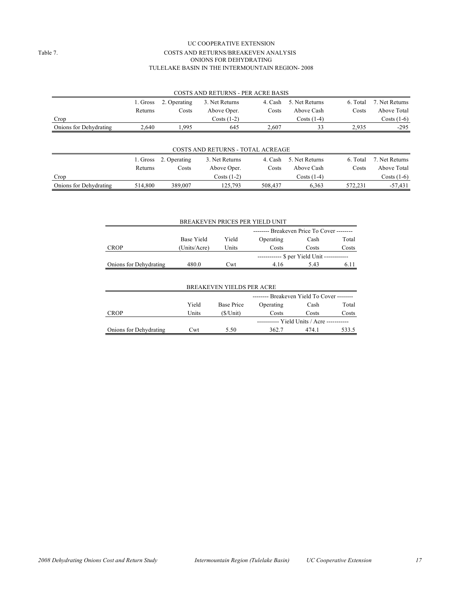#### UC COOPERATIVE EXTENSION Table 7. COSTS AND RETURNS/BREAKEVEN ANALYSIS ONIONS FOR DEHYDRATING TULELAKE BASIN IN THE INTERMOUNTAIN REGION- 2008

|                        |          |              | COSTS AND RETURNS - PER ACRE BASIS       |         |                |          |                |
|------------------------|----------|--------------|------------------------------------------|---------|----------------|----------|----------------|
|                        | 1. Gross | 2. Operating | 3. Net Returns                           | 4. Cash | 5. Net Returns | 6. Total | 7. Net Returns |
|                        | Returns  | Costs        | Above Oper.                              | Costs   | Above Cash     | Costs    | Above Total    |
| Crop                   |          |              | Costs $(1-2)$                            |         | $Costs(1-4)$   |          | Costs $(1-6)$  |
| Onions for Dehydrating | 2,640    | 1,995        | 645                                      | 2.607   | 33             | 2,935    | $-295$         |
|                        |          |              |                                          |         |                |          |                |
|                        |          |              | <b>COSTS AND RETURNS - TOTAL ACREAGE</b> |         |                |          |                |
|                        | 1. Gross | 2. Operating | 3. Net Returns                           | 4. Cash | 5. Net Returns | 6. Total | 7. Net Returns |
|                        | Returns  | Costs        | Above Oper.                              | Costs   | Above Cash     | Costs    | Above Total    |

 $\text{Costs } (1-2)$   $\text{Costs } (1-4)$   $\text{Costs } (1-6)$ Onions for Dehydrating 514,800 389,007 125,793 508,437 6,363 572,231 -57,431

| BREAKEVEN PRICES PER YIELD UNIT  |                                            |                                   |           |       |       |  |  |  |
|----------------------------------|--------------------------------------------|-----------------------------------|-----------|-------|-------|--|--|--|
|                                  | -------- Breakeven Price To Cover -------- |                                   |           |       |       |  |  |  |
|                                  | <b>Base Yield</b>                          | Yield                             | Operating | Cash  | Total |  |  |  |
| <b>CROP</b>                      | (Units/Acre)                               | Units                             | Costs     | Costs | Costs |  |  |  |
|                                  |                                            | ------------ \$ per Yield Unit -- |           |       |       |  |  |  |
| Onions for Dehydrating           | 480.0                                      | Cwt                               | 4.16      | 5.43  | 6.11  |  |  |  |
|                                  |                                            |                                   |           |       |       |  |  |  |
| <b>BREAKEVEN YIELDS PER ACRE</b> |                                            |                                   |           |       |       |  |  |  |
|                                  | - Breakeven Yield To Cover --------        |                                   |           |       |       |  |  |  |
|                                  | Yield                                      | <b>Base Price</b>                 | Operating | Cash  | Total |  |  |  |

CROP Units (\$/Unit) Costs Costs Costs

Onions for Dehydrating Cwt 5.50 362.7 474.1 533.5

----------- Yield Units / Acre -----------